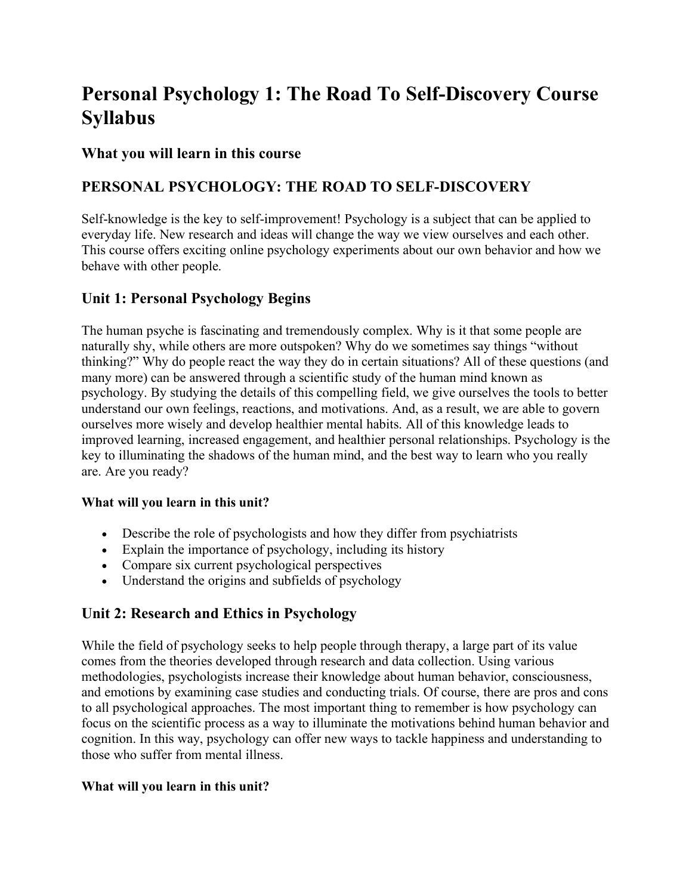# **Personal Psychology 1: The Road To Self-Discovery Course Syllabus**

### **What you will learn in this course**

# **PERSONAL PSYCHOLOGY: THE ROAD TO SELF-DISCOVERY**

Self-knowledge is the key to self-improvement! Psychology is a subject that can be applied to everyday life. New research and ideas will change the way we view ourselves and each other. This course offers exciting online psychology experiments about our own behavior and how we behave with other people.

### **Unit 1: Personal Psychology Begins**

The human psyche is fascinating and tremendously complex. Why is it that some people are naturally shy, while others are more outspoken? Why do we sometimes say things "without thinking?" Why do people react the way they do in certain situations? All of these questions (and many more) can be answered through a scientific study of the human mind known as psychology. By studying the details of this compelling field, we give ourselves the tools to better understand our own feelings, reactions, and motivations. And, as a result, we are able to govern ourselves more wisely and develop healthier mental habits. All of this knowledge leads to improved learning, increased engagement, and healthier personal relationships. Psychology is the key to illuminating the shadows of the human mind, and the best way to learn who you really are. Are you ready?

#### **What will you learn in this unit?**

- Describe the role of psychologists and how they differ from psychiatrists
- Explain the importance of psychology, including its history
- Compare six current psychological perspectives
- Understand the origins and subfields of psychology

# **Unit 2: Research and Ethics in Psychology**

While the field of psychology seeks to help people through therapy, a large part of its value comes from the theories developed through research and data collection. Using various methodologies, psychologists increase their knowledge about human behavior, consciousness, and emotions by examining case studies and conducting trials. Of course, there are pros and cons to all psychological approaches. The most important thing to remember is how psychology can focus on the scientific process as a way to illuminate the motivations behind human behavior and cognition. In this way, psychology can offer new ways to tackle happiness and understanding to those who suffer from mental illness.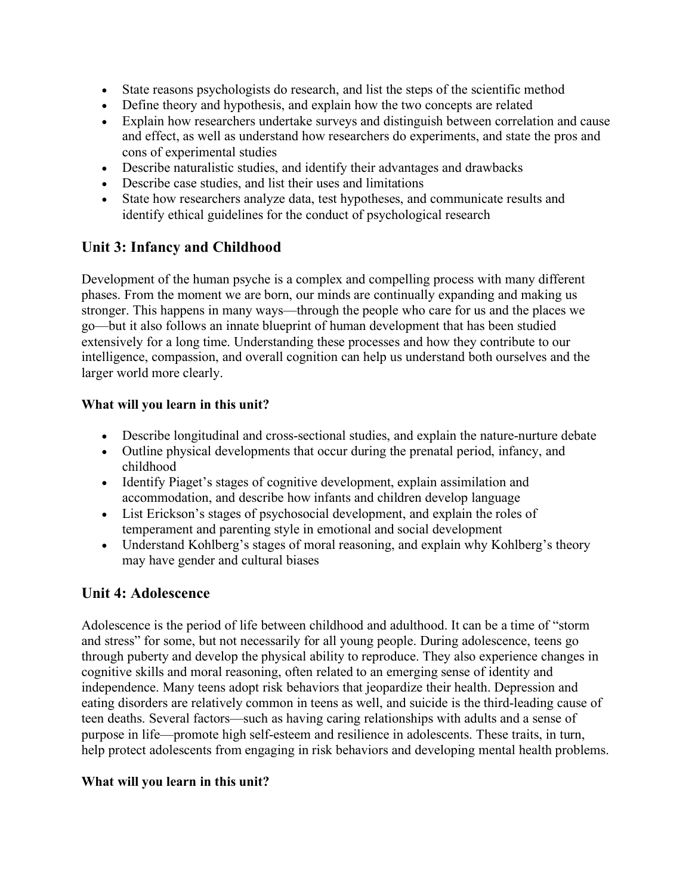- State reasons psychologists do research, and list the steps of the scientific method
- Define theory and hypothesis, and explain how the two concepts are related
- Explain how researchers undertake surveys and distinguish between correlation and cause and effect, as well as understand how researchers do experiments, and state the pros and cons of experimental studies
- Describe naturalistic studies, and identify their advantages and drawbacks
- Describe case studies, and list their uses and limitations
- State how researchers analyze data, test hypotheses, and communicate results and identify ethical guidelines for the conduct of psychological research

# **Unit 3: Infancy and Childhood**

Development of the human psyche is a complex and compelling process with many different phases. From the moment we are born, our minds are continually expanding and making us stronger. This happens in many ways—through the people who care for us and the places we go—but it also follows an innate blueprint of human development that has been studied extensively for a long time. Understanding these processes and how they contribute to our intelligence, compassion, and overall cognition can help us understand both ourselves and the larger world more clearly.

#### **What will you learn in this unit?**

- Describe longitudinal and cross-sectional studies, and explain the nature-nurture debate
- Outline physical developments that occur during the prenatal period, infancy, and childhood
- Identify Piaget's stages of cognitive development, explain assimilation and accommodation, and describe how infants and children develop language
- List Erickson's stages of psychosocial development, and explain the roles of temperament and parenting style in emotional and social development
- Understand Kohlberg's stages of moral reasoning, and explain why Kohlberg's theory may have gender and cultural biases

# **Unit 4: Adolescence**

Adolescence is the period of life between childhood and adulthood. It can be a time of "storm and stress" for some, but not necessarily for all young people. During adolescence, teens go through puberty and develop the physical ability to reproduce. They also experience changes in cognitive skills and moral reasoning, often related to an emerging sense of identity and independence. Many teens adopt risk behaviors that jeopardize their health. Depression and eating disorders are relatively common in teens as well, and suicide is the third-leading cause of teen deaths. Several factors—such as having caring relationships with adults and a sense of purpose in life—promote high self-esteem and resilience in adolescents. These traits, in turn, help protect adolescents from engaging in risk behaviors and developing mental health problems.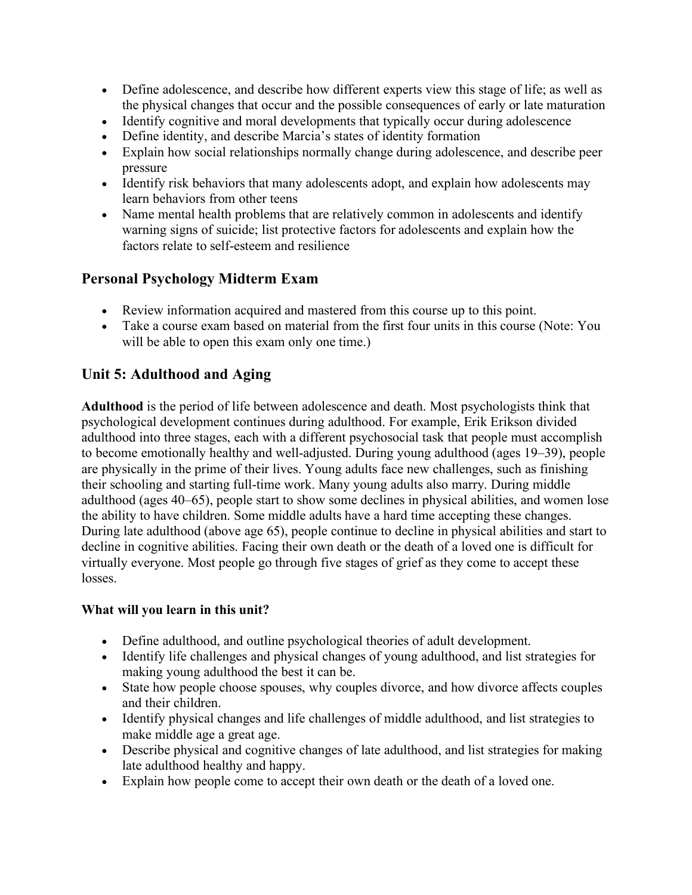- Define adolescence, and describe how different experts view this stage of life; as well as the physical changes that occur and the possible consequences of early or late maturation
- Identify cognitive and moral developments that typically occur during adolescence
- Define identity, and describe Marcia's states of identity formation
- Explain how social relationships normally change during adolescence, and describe peer pressure
- Identify risk behaviors that many adolescents adopt, and explain how adolescents may learn behaviors from other teens
- Name mental health problems that are relatively common in adolescents and identify warning signs of suicide; list protective factors for adolescents and explain how the factors relate to self-esteem and resilience

# **Personal Psychology Midterm Exam**

- Review information acquired and mastered from this course up to this point.
- Take a course exam based on material from the first four units in this course (Note: You will be able to open this exam only one time.)

# **Unit 5: Adulthood and Aging**

**Adulthood** is the period of life between adolescence and death. Most psychologists think that psychological development continues during adulthood. For example, Erik Erikson divided adulthood into three stages, each with a different psychosocial task that people must accomplish to become emotionally healthy and well-adjusted. During young adulthood (ages 19–39), people are physically in the prime of their lives. Young adults face new challenges, such as finishing their schooling and starting full-time work. Many young adults also marry. During middle adulthood (ages 40–65), people start to show some declines in physical abilities, and women lose the ability to have children. Some middle adults have a hard time accepting these changes. During late adulthood (above age 65), people continue to decline in physical abilities and start to decline in cognitive abilities. Facing their own death or the death of a loved one is difficult for virtually everyone. Most people go through five stages of grief as they come to accept these losses.

- Define adulthood, and outline psychological theories of adult development.
- Identify life challenges and physical changes of young adulthood, and list strategies for making young adulthood the best it can be.
- State how people choose spouses, why couples divorce, and how divorce affects couples and their children.
- Identify physical changes and life challenges of middle adulthood, and list strategies to make middle age a great age.
- Describe physical and cognitive changes of late adulthood, and list strategies for making late adulthood healthy and happy.
- Explain how people come to accept their own death or the death of a loved one.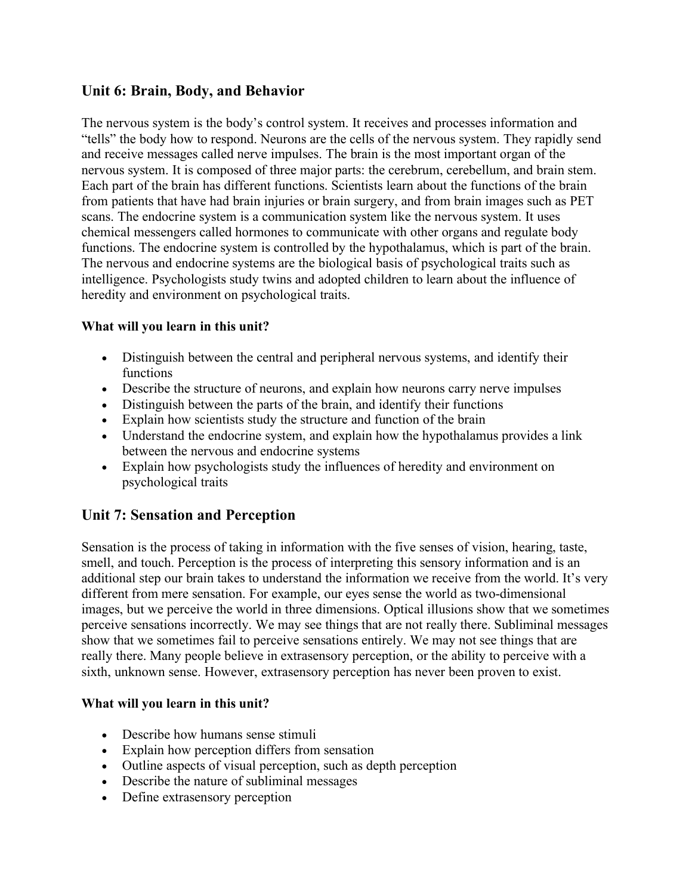### **Unit 6: Brain, Body, and Behavior**

The nervous system is the body's control system. It receives and processes information and "tells" the body how to respond. Neurons are the cells of the nervous system. They rapidly send and receive messages called nerve impulses. The brain is the most important organ of the nervous system. It is composed of three major parts: the cerebrum, cerebellum, and brain stem. Each part of the brain has different functions. Scientists learn about the functions of the brain from patients that have had brain injuries or brain surgery, and from brain images such as PET scans. The endocrine system is a communication system like the nervous system. It uses chemical messengers called hormones to communicate with other organs and regulate body functions. The endocrine system is controlled by the hypothalamus, which is part of the brain. The nervous and endocrine systems are the biological basis of psychological traits such as intelligence. Psychologists study twins and adopted children to learn about the influence of heredity and environment on psychological traits.

#### **What will you learn in this unit?**

- Distinguish between the central and peripheral nervous systems, and identify their functions
- Describe the structure of neurons, and explain how neurons carry nerve impulses
- Distinguish between the parts of the brain, and identify their functions
- Explain how scientists study the structure and function of the brain
- Understand the endocrine system, and explain how the hypothalamus provides a link between the nervous and endocrine systems
- Explain how psychologists study the influences of heredity and environment on psychological traits

# **Unit 7: Sensation and Perception**

Sensation is the process of taking in information with the five senses of vision, hearing, taste, smell, and touch. Perception is the process of interpreting this sensory information and is an additional step our brain takes to understand the information we receive from the world. It's very different from mere sensation. For example, our eyes sense the world as two-dimensional images, but we perceive the world in three dimensions. Optical illusions show that we sometimes perceive sensations incorrectly. We may see things that are not really there. Subliminal messages show that we sometimes fail to perceive sensations entirely. We may not see things that are really there. Many people believe in extrasensory perception, or the ability to perceive with a sixth, unknown sense. However, extrasensory perception has never been proven to exist.

- Describe how humans sense stimuli
- Explain how perception differs from sensation
- Outline aspects of visual perception, such as depth perception
- Describe the nature of subliminal messages
- Define extrasensory perception